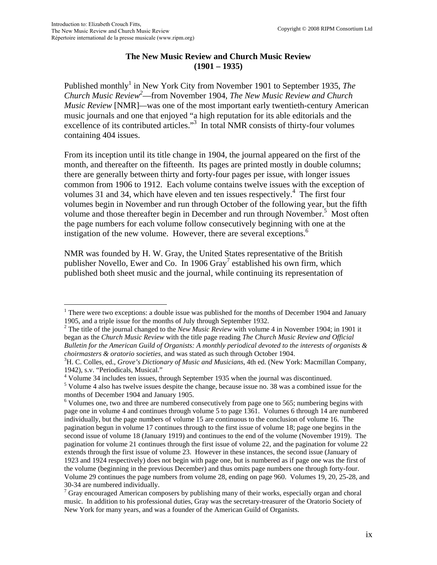## **The New Music Review and Church Music Review (1901 – 1935)**

Published monthly<sup>[1](#page-0-0)</sup> in New York City from November 1901 to September 1935, *The Church Music Revie[w2](#page-0-1)* —from November 1904, *The New Music Review and Church Music Review* [NMR]*—*was one of the most important early twentieth-century American music journals and one that enjoyed "a high reputation for its able editorials and the excellence of its contributed articles."<sup>[3](#page-0-2)</sup> In total NMR consists of thirty-four volumes containing 404 issues.

From its inception until its title change in 1904, the journal appeared on the first of the month, and thereafter on the fifteenth. Its pages are printed mostly in double columns; there are generally between thirty and forty-four pages per issue, with longer issues common from 1906 to 1912. Each volume contains twelve issues with the exception of volumes 31 and 3[4](#page-0-3), which have eleven and ten issues respectively.<sup>4</sup> The first four volumes begin in November and run through October of the following year, but the fifth volume and those thereafter begin in December and run through November.<sup>[5](#page-0-4)</sup> Most often the page numbers for each volume follow consecutively beginning with one at the instigation of the new volume. However, there are several exceptions.<sup>6</sup>

NMR was founded by H. W. Gray, the United States representative of the British publisher Novello, Ewer and Co. In 1906 Gray<sup>7</sup> established his own firm, which published both sheet music and the journal, while continuing its representation of

<span id="page-0-3"></span><sup>4</sup> Volume 34 includes ten issues, through September 1935 when the journal was discontinued.

<span id="page-0-0"></span><sup>&</sup>lt;sup>1</sup> There were two exceptions: a double issue was published for the months of December 1904 and January 1905, and a triple issue for the months of July through September 1932.

<span id="page-0-1"></span><sup>&</sup>lt;sup>2</sup> The title of the journal changed to the *New Music Review* with volume 4 in November 1904; in 1901 it began as the *Church Music Review* with the title page reading *The Church Music Review and Official Bulletin for the American Guild of Organists: A monthly periodical devoted to the interests of organists & choirmasters & oratorio societies*, and was stated as such through October 1904. 3

<span id="page-0-2"></span><sup>&</sup>lt;sup>3</sup>H. C. Colles, ed., *Grove's Dictionary of Music and Musicians*, 4th ed. (New York: Macmillan Company, 1942), s.v. "Periodicals, Musical."

<span id="page-0-4"></span><sup>&</sup>lt;sup>5</sup> Volume 4 also has twelve issues despite the change, because issue no. 38 was a combined issue for the months of December 1904 and January 1905.

<span id="page-0-5"></span> $6$  Volumes one, two and three are numbered consecutively from page one to 565; numbering begins with page one in volume 4 and continues through volume 5 to page 1361. Volumes 6 through 14 are numbered individually, but the page numbers of volume 15 are continuous to the conclusion of volume 16. The pagination begun in volume 17 continues through to the first issue of volume 18; page one begins in the second issue of volume 18 (January 1919) and continues to the end of the volume (November 1919). The pagination for volume 21 continues through the first issue of volume 22, and the pagination for volume 22 extends through the first issue of volume 23. However in these instances, the second issue (January of 1923 and 1924 respectively) does not begin with page one, but is numbered as if page one was the first of the volume (beginning in the previous December) and thus omits page numbers one through forty-four. Volume 29 continues the page numbers from volume 28, ending on page 960. Volumes 19, 20, 25-28, and 30-34 are numbered individually.

<span id="page-0-6"></span> $7$  Gray encouraged American composers by publishing many of their works, especially organ and choral music. In addition to his professional duties, Gray was the secretary-treasurer of the Oratorio Society of New York for many years, and was a founder of the American Guild of Organists.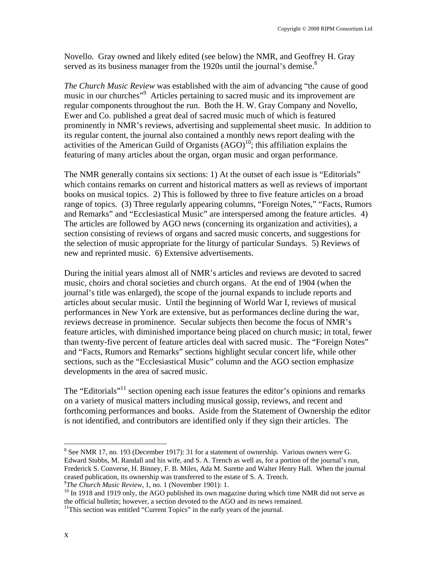Novello. Gray owned and likely edited (see below) the NMR, and Geoffrey H. Gray served as its business manager from the 1920s until the journal's demise.<sup>[8](#page-1-0)</sup>

*The Church Music Review* was established with the aim of advancing "the cause of good music in our churches"<sup>9</sup> Articles pertaining to sacred music and its improvement are regular components throughout the run. Both the H. W. Gray Company and Novello, Ewer and Co. published a great deal of sacred music much of which is featured prominently in NMR's reviews, advertising and supplemental sheet music. In addition to its regular content, the journal also contained a monthly news report dealing with the activities of the American Guild of Organists  $(AGO)^{10}$ ; this affiliation explains the featuring of many articles about the organ, organ music and organ performance.

The NMR generally contains six sections: 1) At the outset of each issue is "Editorials" which contains remarks on current and historical matters as well as reviews of important books on musical topics. 2) This is followed by three to five feature articles on a broad range of topics. (3) Three regularly appearing columns, "Foreign Notes," "Facts, Rumors and Remarks" and "Ecclesiastical Music" are interspersed among the feature articles. 4) The articles are followed by AGO news (concerning its organization and activities), a section consisting of reviews of organs and sacred music concerts, and suggestions for the selection of music appropriate for the liturgy of particular Sundays. 5) Reviews of new and reprinted music. 6) Extensive advertisements.

During the initial years almost all of NMR's articles and reviews are devoted to sacred music, choirs and choral societies and church organs. At the end of 1904 (when the journal's title was enlarged), the scope of the journal expands to include reports and articles about secular music. Until the beginning of World War I, reviews of musical performances in New York are extensive, but as performances decline during the war, reviews decrease in prominence. Secular subjects then become the focus of NMR's feature articles, with diminished importance being placed on church music; in total, fewer than twenty-five percent of feature articles deal with sacred music. The "Foreign Notes" and "Facts, Rumors and Remarks" sections highlight secular concert life, while other sections, such as the "Ecclesiastical Music" column and the AGO section emphasize developments in the area of sacred music.

The "Editorials"<sup>11</sup> section opening each issue features the editor's opinions and remarks on a variety of musical matters including musical gossip, reviews, and recent and forthcoming performances and books. Aside from the Statement of Ownership the editor is not identified, and contributors are identified only if they sign their articles. The

<span id="page-1-1"></span>

 $\overline{a}$ 

<span id="page-1-0"></span><sup>&</sup>lt;sup>8</sup> See NMR 17, no. 193 (December 1917): 31 for a statement of ownership. Various owners were G. Edward Stubbs, M. Randall and his wife, and S. A. Trench as well as, for a portion of the journal's run, Frederick S. Converse, H. Binney, F. B. Miles, Ada M. Surette and Walter Henry Hall. When the journal ceased publication, its ownership was transferred to the estate of S. A. Trench.<br><sup>9</sup>The Church Music Review, 1, no. 1 (November 1901): 1.

<span id="page-1-2"></span><sup>&</sup>lt;sup>10</sup> In 1918 and 1919 only, the AGO published its own magazine during which time NMR did not serve as the official bulletin; however, a section devoted to the AGO and its news remained.<br><sup>11</sup>This section was entitled "Current Topics" in the early years of the journal.

<span id="page-1-3"></span>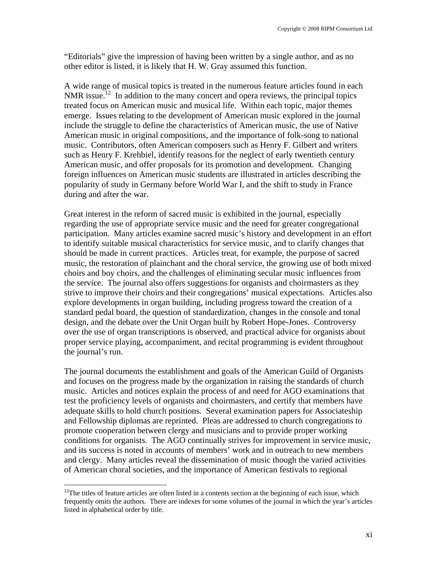"Editorials" give the impression of having been written by a single author, and as no other editor is listed, it is likely that H. W. Gray assumed this function.

A wide range of musical topics is treated in the numerous feature articles found in each NMR issue.<sup>12</sup> In addition to the many concert and opera reviews, the principal topics treated focus on American music and musical life. Within each topic, major themes emerge. Issues relating to the development of American music explored in the journal include the struggle to define the characteristics of American music, the use of Native American music in original compositions, and the importance of folk-song to national music. Contributors, often American composers such as Henry F. Gilbert and writers such as Henry F. Krehbiel, identify reasons for the neglect of early twentieth century American music, and offer proposals for its promotion and development. Changing foreign influences on American music students are illustrated in articles describing the popularity of study in Germany before World War I, and the shift to study in France during and after the war.

Great interest in the reform of sacred music is exhibited in the journal, especially regarding the use of appropriate service music and the need for greater congregational participation. Many articles examine sacred music's history and development in an effort to identify suitable musical characteristics for service music, and to clarify changes that should be made in current practices. Articles treat, for example, the purpose of sacred music, the restoration of plainchant and the choral service, the growing use of both mixed choirs and boy choirs, and the challenges of eliminating secular music influences from the service. The journal also offers suggestions for organists and choirmasters as they strive to improve their choirs and their congregations' musical expectations. Articles also explore developments in organ building, including progress toward the creation of a standard pedal board, the question of standardization, changes in the console and tonal design, and the debate over the Unit Organ built by Robert Hope-Jones. Controversy over the use of organ transcriptions is observed, and practical advice for organists about proper service playing, accompaniment, and recital programming is evident throughout the journal's run.

The journal documents the establishment and goals of the American Guild of Organists and focuses on the progress made by the organization in raising the standards of church music. Articles and notices explain the process of and need for AGO examinations that test the proficiency levels of organists and choirmasters, and certify that members have adequate skills to hold church positions. Several examination papers for Associateship and Fellowship diplomas are reprinted. Pleas are addressed to church congregations to promote cooperation between clergy and musicians and to provide proper working conditions for organists. The AGO continually strives for improvement in service music, and its success is noted in accounts of members' work and in outreach to new members and clergy. Many articles reveal the dissemination of music though the varied activities of American choral societies, and the importance of American festivals to regional

 $\overline{a}$ 

<span id="page-2-0"></span><sup>&</sup>lt;sup>12</sup>The titles of feature articles are often listed in a contents section at the beginning of each issue, which frequently omits the authors. There are indexes for some volumes of the journal in which the year's articles listed in alphabetical order by title.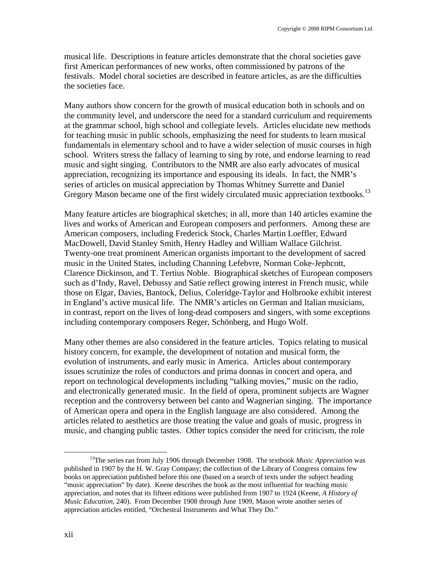musical life. Descriptions in feature articles demonstrate that the choral societies gave first American performances of new works, often commissioned by patrons of the festivals. Model choral societies are described in feature articles, as are the difficulties the societies face.

Many authors show concern for the growth of musical education both in schools and on the community level, and underscore the need for a standard curriculum and requirements at the grammar school, high school and collegiate levels. Articles elucidate new methods for teaching music in public schools, emphasizing the need for students to learn musical fundamentals in elementary school and to have a wider selection of music courses in high school. Writers stress the fallacy of learning to sing by rote, and endorse learning to read music and sight singing. Contributors to the NMR are also early advocates of musical appreciation, recognizing its importance and espousing its ideals. In fact, the NMR's series of articles on musical appreciation by Thomas Whitney Surrette and Daniel Gregory Mason became one of the first widely circulated music appreciation textbooks.<sup>13</sup>

Many feature articles are biographical sketches; in all, more than 140 articles examine the lives and works of American and European composers and performers. Among these are American composers, including Frederick Stock, Charles Martin Loeffler, Edward MacDowell, David Stanley Smith, Henry Hadley and William Wallace Gilchrist. Twenty-one treat prominent American organists important to the development of sacred music in the United States, including Channing Lefebvre, Norman Coke-Jephcott, Clarence Dickinson, and T. Tertius Noble. Biographical sketches of European composers such as d'Indy, Ravel, Debussy and Satie reflect growing interest in French music, while those on Elgar, Davies, Bantock, Delius, Coleridge-Taylor and Holbrooke exhibit interest in England's active musical life. The NMR's articles on German and Italian musicians, in contrast, report on the lives of long-dead composers and singers, with some exceptions including contemporary composers Reger, Schönberg, and Hugo Wolf.

Many other themes are also considered in the feature articles. Topics relating to musical history concern, for example, the development of notation and musical form, the evolution of instruments, and early music in America. Articles about contemporary issues scrutinize the roles of conductors and prima donnas in concert and opera, and report on technological developments including "talking movies," music on the radio, and electronically generated music. In the field of opera, prominent subjects are Wagner reception and the controversy between bel canto and Wagnerian singing. The importance of American opera and opera in the English language are also considered. Among the articles related to aesthetics are those treating the value and goals of music, progress in music, and changing public tastes. Other topics consider the need for criticism, the role

<span id="page-3-0"></span> <sup>13</sup>The series ran from July 1906 through December 1908. The textbook *Music Appreciation* was published in 1907 by the H. W. Gray Company; the collection of the Library of Congress contains few books on appreciation published before this one (based on a search of texts under the subject heading "music appreciation" by date). Keene describes the book as the most influential for teaching music appreciation, and notes that its fifteen editions were published from 1907 to 1924 (Keene, *A History of Music Education*, 240). From December 1908 through June 1909, Mason wrote another series of appreciation articles entitled, "Orchestral Instruments and What They Do."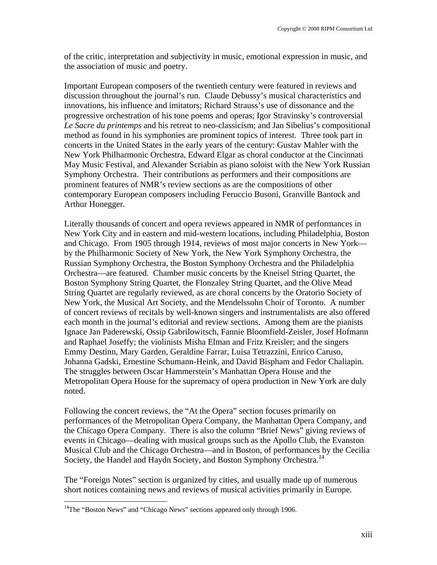of the critic, interpretation and subjectivity in music, emotional expression in music, and the association of music and poetry.

Important European composers of the twentieth century were featured in reviews and discussion throughout the journal's run. Claude Debussy's musical characteristics and innovations, his influence and imitators; Richard Strauss's use of dissonance and the progressive orchestration of his tone poems and operas; Igor Stravinsky's controversial *Le Sacre du printemps* and his retreat to neo-classicism; and Jan Sibelius's compositional method as found in his symphonies are prominent topics of interest. Three took part in concerts in the United States in the early years of the century: Gustav Mahler with the New York Philharmonic Orchestra, Edward Elgar as choral conductor at the Cincinnati May Music Festival, and Alexander Scriabin as piano soloist with the New York Russian Symphony Orchestra. Their contributions as performers and their compositions are prominent features of NMR's review sections as are the compositions of other contemporary European composers including Feruccio Busoni, Granville Bantock and Arthur Honegger.

Literally thousands of concert and opera reviews appeared in NMR of performances in New York City and in eastern and mid-western locations, including Philadelphia, Boston and Chicago. From 1905 through 1914, reviews of most major concerts in New York by the Philharmonic Society of New York, the New York Symphony Orchestra, the Russian Symphony Orchestra, the Boston Symphony Orchestra and the Philadelphia Orchestra—are featured. Chamber music concerts by the Kneisel String Quartet, the Boston Symphony String Quartet, the Flonzaley String Quartet, and the Olive Mead String Quartet are regularly reviewed, as are choral concerts by the Oratorio Society of New York, the Musical Art Society, and the Mendelssohn Choir of Toronto. A number of concert reviews of recitals by well-known singers and instrumentalists are also offered each month in the journal's editorial and review sections. Among them are the pianists Ignace Jan Paderewski, Ossip Gabrilowitsch, Fannie Bloomfield-Zeisler, Josef Hofmann and Raphael Joseffy; the violinists Misha Elman and Fritz Kreisler; and the singers Emmy Destinn, Mary Garden, Geraldine Farrar, Luisa Tetrazzini, Enrico Caruso, Johanna Gadski, Ernestine Schumann-Heink, and David Bispham and Fedor Chaliapin. The struggles between Oscar Hammerstein's Manhattan Opera House and the Metropolitan Opera House for the supremacy of opera production in New York are duly noted.

Following the concert reviews, the "At the Opera" section focuses primarily on performances of the Metropolitan Opera Company, the Manhattan Opera Company, and the Chicago Opera Company. There is also the column "Brief News" giving reviews of events in Chicago—dealing with musical groups such as the Apollo Club, the Evanston Musical Club and the Chicago Orchestra—and in Boston, of performances by the Cecilia Society, the Handel and Haydn Society, and Boston Symphony Orchestra.<sup>14</sup>

The "Foreign Notes" section is organized by cities, and usually made up of numerous short notices containing news and reviews of musical activities primarily in Europe.

<u>.</u>

<span id="page-4-0"></span> $14$ The "Boston News" and "Chicago News" sections appeared only through 1906.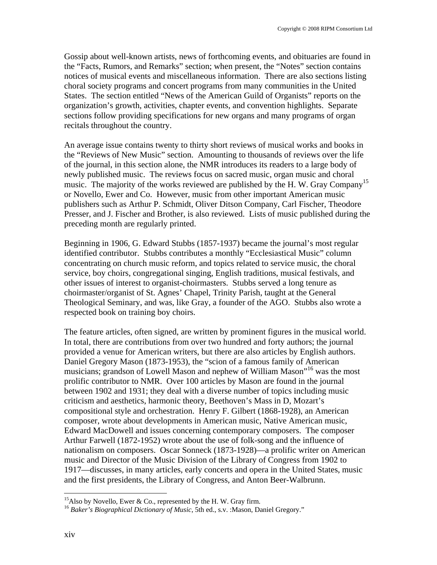Gossip about well-known artists, news of forthcoming events, and obituaries are found in the "Facts, Rumors, and Remarks" section; when present, the "Notes" section contains notices of musical events and miscellaneous information. There are also sections listing choral society programs and concert programs from many communities in the United States. The section entitled "News of the American Guild of Organists" reports on the organization's growth, activities, chapter events, and convention highlights. Separate sections follow providing specifications for new organs and many programs of organ recitals throughout the country.

An average issue contains twenty to thirty short reviews of musical works and books in the "Reviews of New Music" section. Amounting to thousands of reviews over the life of the journal, in this section alone, the NMR introduces its readers to a large body of newly published music. The reviews focus on sacred music, organ music and choral music. The majority of the works reviewed are published by the H.W. Gray Company<sup>[15](#page-5-0)</sup> or Novello, Ewer and Co. However, music from other important American music publishers such as Arthur P. Schmidt, Oliver Ditson Company, Carl Fischer, Theodore Presser, and J. Fischer and Brother, is also reviewed. Lists of music published during the preceding month are regularly printed.

Beginning in 1906, G. Edward Stubbs (1857-1937) became the journal's most regular identified contributor. Stubbs contributes a monthly "Ecclesiastical Music" column concentrating on church music reform, and topics related to service music, the choral service, boy choirs, congregational singing, English traditions, musical festivals, and other issues of interest to organist-choirmasters. Stubbs served a long tenure as choirmaster/organist of St. Agnes' Chapel, Trinity Parish, taught at the General Theological Seminary, and was, like Gray, a founder of the AGO. Stubbs also wrote a respected book on training boy choirs.

The feature articles, often signed, are written by prominent figures in the musical world. In total, there are contributions from over two hundred and forty authors; the journal provided a venue for American writers, but there are also articles by English authors. Daniel Gregory Mason (1873-1953), the "scion of a famous family of American musicians; grandson of Lowell Mason and nephew of William Mason"[16 w](#page-5-1)as the most prolific contributor to NMR. Over 100 articles by Mason are found in the journal between 1902 and 1931; they deal with a diverse number of topics including music criticism and aesthetics, harmonic theory, Beethoven's Mass in D, Mozart's compositional style and orchestration. Henry F. Gilbert (1868-1928), an American composer, wrote about developments in American music, Native American music, Edward MacDowell and issues concerning contemporary composers. The composer Arthur Farwell (1872-1952) wrote about the use of folk-song and the influence of nationalism on composers. Oscar Sonneck (1873-1928)—a prolific writer on American music and Director of the Music Division of the Library of Congress from 1902 to 1917—discusses, in many articles, early concerts and opera in the United States, music and the first presidents, the Library of Congress, and Anton Beer-Walbrunn.

1

<span id="page-5-1"></span><span id="page-5-0"></span>

<sup>&</sup>lt;sup>15</sup>Also by Novello, Ewer & Co., represented by the H. W. Gray firm.<br><sup>16</sup> *Baker's Biographical Dictionary of Music*, 5th ed., s.v. :Mason, Daniel Gregory."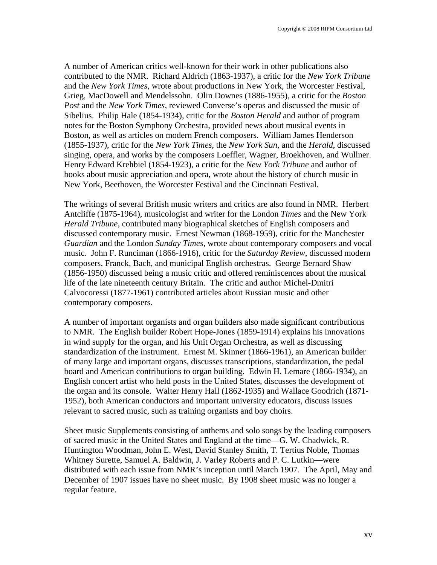A number of American critics well-known for their work in other publications also contributed to the NMR. Richard Aldrich (1863-1937), a critic for the *New York Tribune*  and the *New York Times*, wrote about productions in New York, the Worcester Festival, Grieg, MacDowell and Mendelssohn. Olin Downes (1886-1955), a critic for the *Boston Post* and the *New York Times*, reviewed Converse's operas and discussed the music of Sibelius. Philip Hale (1854-1934), critic for the *Boston Herald* and author of program notes for the Boston Symphony Orchestra, provided news about musical events in Boston, as well as articles on modern French composers. William James Henderson (1855-1937), critic for the *New York Times*, the *New York Sun*, and the *Herald*, discussed singing, opera, and works by the composers Loeffler, Wagner, Broekhoven, and Wullner. Henry Edward Krehbiel (1854-1923), a critic for the *New York Tribune* and author of books about music appreciation and opera, wrote about the history of church music in New York, Beethoven, the Worcester Festival and the Cincinnati Festival.

The writings of several British music writers and critics are also found in NMR. Herbert Antcliffe (1875-1964), musicologist and writer for the London *Times* and the New York *Herald Tribune*, contributed many biographical sketches of English composers and discussed contemporary music. Ernest Newman (1868-1959), critic for the Manchester *Guardian* and the London *Sunday Times*, wrote about contemporary composers and vocal music. John F. Runciman (1866-1916), critic for the *Saturday Review*, discussed modern composers, Franck, Bach, and municipal English orchestras. George Bernard Shaw (1856-1950) discussed being a music critic and offered reminiscences about the musical life of the late nineteenth century Britain. The critic and author Michel-Dmitri Calvocoressi (1877-1961) contributed articles about Russian music and other contemporary composers.

A number of important organists and organ builders also made significant contributions to NMR. The English builder Robert Hope-Jones (1859-1914) explains his innovations in wind supply for the organ, and his Unit Organ Orchestra, as well as discussing standardization of the instrument. Ernest M. Skinner (1866-1961), an American builder of many large and important organs, discusses transcriptions, standardization, the pedal board and American contributions to organ building. Edwin H. Lemare (1866-1934), an English concert artist who held posts in the United States, discusses the development of the organ and its console. Walter Henry Hall (1862-1935) and Wallace Goodrich (1871- 1952), both American conductors and important university educators, discuss issues relevant to sacred music, such as training organists and boy choirs.

Sheet music Supplements consisting of anthems and solo songs by the leading composers of sacred music in the United States and England at the time—G. W. Chadwick, R. Huntington Woodman, John E. West, David Stanley Smith, T. Tertius Noble, Thomas Whitney Surette, Samuel A. Baldwin, J. Varley Roberts and P. C. Lutkin—were distributed with each issue from NMR's inception until March 1907. The April, May and December of 1907 issues have no sheet music. By 1908 sheet music was no longer a regular feature.